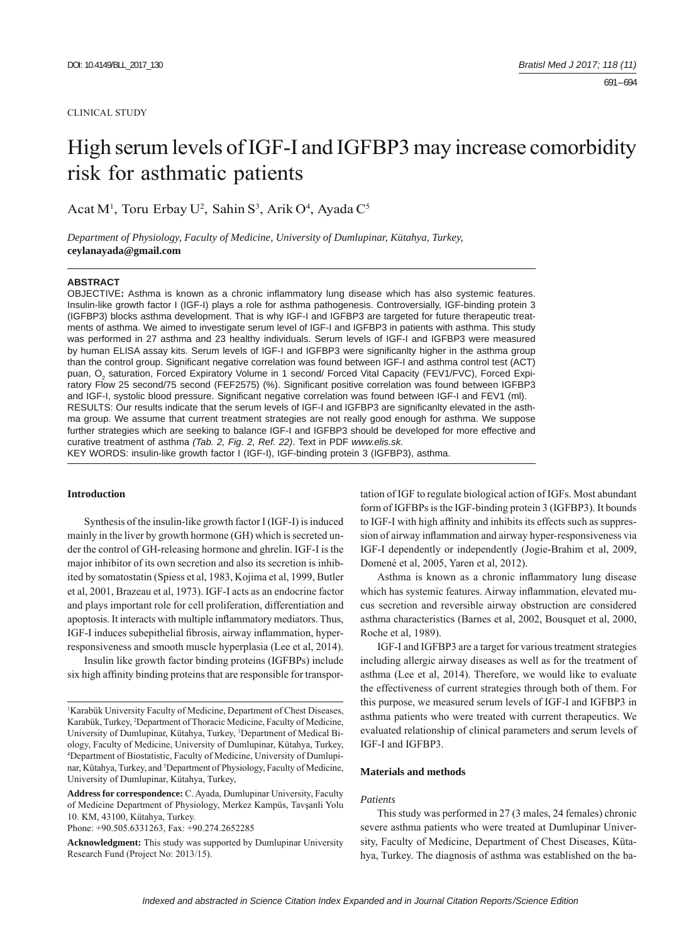#### CLINICAL STUDY

# High serum levels of IGF-I and IGFBP3 may increase comorbidity risk for asthmatic patients

Acat M<sup>1</sup>, Toru Erbay U<sup>2</sup>, Sahin S<sup>3</sup>, Arik O<sup>4</sup>, Ayada C<sup>5</sup>

*Department of Physiology, Faculty of Medicine, University of Dumlupinar, Kütahya, Turkey,*  **ceylanayada@gmail.com**

#### **ABSTRACT**

OBJECTIVE: Asthma is known as a chronic inflammatory lung disease which has also systemic features. Insulin-like growth factor I (IGF-I) plays a role for asthma pathogenesis. Controversially, IGF-binding protein 3 (IGFBP3) blocks asthma development. That is why IGF-I and IGFBP3 are targeted for future therapeutic treatments of asthma. We aimed to investigate serum level of IGF-I and IGFBP3 in patients with asthma. This study was performed in 27 asthma and 23 healthy individuals. Serum levels of IGF-I and IGFBP3 were measured by human ELISA assay kits. Serum levels of IGF-I and IGFBP3 were significanlty higher in the asthma group than the control group. Significant negative correlation was found between IGF-I and asthma control test (ACT) puan, O<sub>2</sub> saturation, Forced Expiratory Volume in 1 second/ Forced Vital Capacity (FEV1/FVC), Forced Expiratory Flow 25 second/75 second (FEF2575) (%). Significant positive correlation was found between IGFBP3 and IGF-I, systolic blood pressure. Significant negative correlation was found between IGF-I and FEV1 (ml). RESULTS: Our results indicate that the serum levels of IGF-I and IGFBP3 are significanlty elevated in the asthma group. We assume that current treatment strategies are not really good enough for asthma. We suppose further strategies which are seeking to balance IGF-I and IGFBP3 should be developed for more effective and curative treatment of asthma *(Tab. 2, Fig. 2, Ref. 22)*. Text in PDF *www.elis.sk.* KEY WORDS: insulin-like growth factor I (IGF-I), IGF-binding protein 3 (IGFBP3), asthma.

## **Introduction**

Synthesis of the insulin-like growth factor I (IGF-I) is induced mainly in the liver by growth hormone (GH) which is secreted under the control of GH-releasing hormone and ghrelin. IGF-I is the major inhibitor of its own secretion and also its secretion is inhibited by somatostatin (Spiess et al, 1983, Kojima et al, 1999, Butler et al, 2001, Brazeau et al, 1973). IGF-I acts as an endocrine factor and plays important role for cell proliferation, differentiation and apoptosis. It interacts with multiple inflammatory mediators. Thus, IGF-I induces subepithelial fibrosis, airway inflammation, hyperresponsiveness and smooth muscle hyperplasia (Lee et al, 2014).

Insulin like growth factor binding proteins (IGFBPs) include six high affinity binding proteins that are responsible for transpor-

Phone: +90.505.6331263, Fax: +90.274.2652285

tation of IGF to regulate biological action of IGFs. Most abundant form of IGFBPs is the IGF-binding protein 3 (IGFBP3). It bounds to IGF-I with high affinity and inhibits its effects such as suppression of airway inflammation and airway hyper-responsiveness via IGF-I dependently or independently (Jogie-Brahim et al, 2009, Domené et al, 2005, Yaren et al, 2012).

Asthma is known as a chronic inflammatory lung disease which has systemic features. Airway inflammation, elevated mucus secretion and reversible airway obstruction are considered asthma characteristics (Barnes et al, 2002, Bousquet et al, 2000, Roche et al, 1989).

IGF-I and IGFBP3 are a target for various treatment strategies including allergic airway diseases as well as for the treatment of asthma (Lee et al, 2014). Therefore, we would like to evaluate the effectiveness of current strategies through both of them. For this purpose, we measured serum levels of IGF-I and IGFBP3 in asthma patients who were treated with current therapeutics. We evaluated relationship of clinical parameters and serum levels of IGF-I and IGFBP3.

#### **Materials and methods**

#### *Patients*

This study was performed in 27 (3 males, 24 females) chronic severe asthma patients who were treated at Dumlupinar University, Faculty of Medicine, Department of Chest Diseases, Kütahya, Turkey. The diagnosis of asthma was established on the ba-

<sup>&</sup>lt;sup>1</sup>Karabük University Faculty of Medicine, Department of Chest Diseases, Karabük, Turkey, 2 Department of Thoracic Medicine, Faculty of Medicine, University of Dumlupinar, Kütahya, Turkey, <sup>3</sup>Department of Medical Biology, Faculty of Medicine, University of Dumlupinar, Kütahya, Turkey, 4 Department of Biostatistic, Faculty of Medicine, University of Dumlupinar, Kütahya, Turkey, and <sup>5</sup>Department of Physiology, Faculty of Medicine, University of Dumlupinar, Kütahya, Turkey,

**Address for correspondence:** C. Ayada, Dumlupinar University, Faculty of Medicine Department of Physiology, Merkez Kampüs, Tavşanli Yolu 10. KM, 43100, Kütahya, Turkey.

**Acknowledgment:** This study was supported by Dumlupinar University Research Fund (Project No: 2013/15).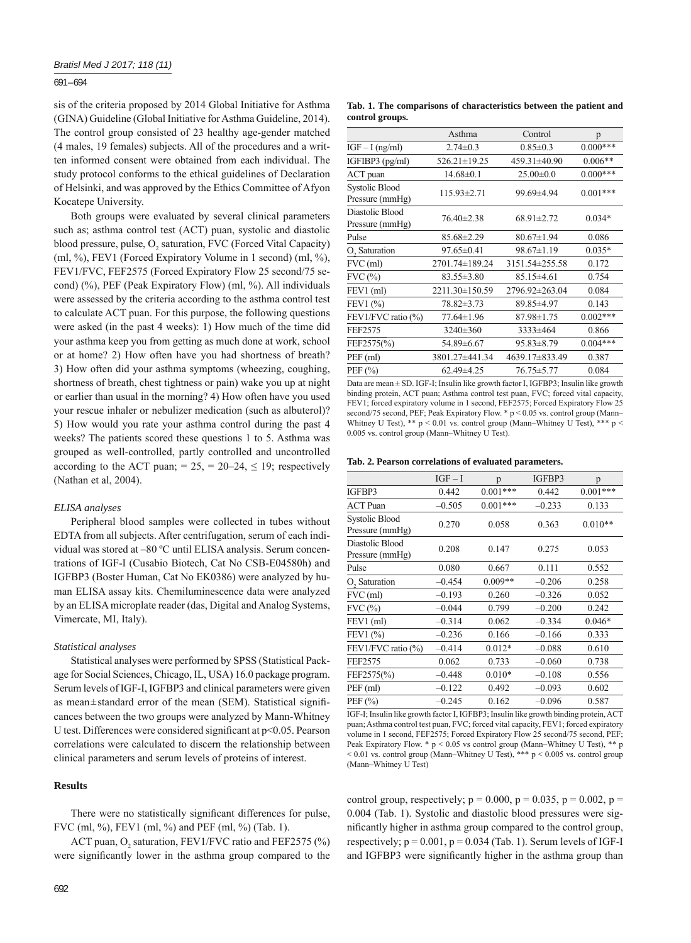## 691 – 694

sis of the criteria proposed by 2014 Global Initiative for Asthma (GINA) Guideline (Global Initiative for Asthma Guideline, 2014). The control group consisted of 23 healthy age-gender matched (4 males, 19 females) subjects. All of the procedures and a written informed consent were obtained from each individual. The study protocol conforms to the ethical guidelines of Declaration of Helsinki, and was approved by the Ethics Committee of Afyon Kocatepe University.

Both groups were evaluated by several clinical parameters such as; asthma control test (ACT) puan, systolic and diastolic blood pressure, pulse,  $O_2$  saturation, FVC (Forced Vital Capacity) (ml, %), FEV1 (Forced Expiratory Volume in 1 second) (ml, %), FEV1/FVC, FEF2575 (Forced Expiratory Flow 25 second/75 second) (%), PEF (Peak Expiratory Flow) (ml, %). All individuals were assessed by the criteria according to the asthma control test to calculate ACT puan. For this purpose, the following questions were asked (in the past 4 weeks): 1) How much of the time did your asthma keep you from getting as much done at work, school or at home? 2) How often have you had shortness of breath? 3) How often did your asthma symptoms (wheezing, coughing, shortness of breath, chest tightness or pain) wake you up at night or earlier than usual in the morning? 4) How often have you used your rescue inhaler or nebulizer medication (such as albuterol)? 5) How would you rate your asthma control during the past 4 weeks? The patients scored these questions 1 to 5. Asthma was grouped as well-controlled, partly controlled and uncontrolled according to the ACT puan; =  $25$ , =  $20-24$ ,  $\leq 19$ ; respectively (Nathan et al, 2004).

#### *ELISA analyses*

Peripheral blood samples were collected in tubes without EDTA from all subjects. After centrifugation, serum of each individual was stored at –80 ºC until ELISA analysis. Serum concentrations of IGF-I (Cusabio Biotech, Cat No CSB-E04580h) and IGFBP3 (Boster Human, Cat No EK0386) were analyzed by human ELISA assay kits. Chemiluminescence data were analyzed by an ELISA microplate reader (das, Digital and Analog Systems, Vimercate, MI, Italy).

## *Statistical analyses*

Statistical analyses were performed by SPSS (Statistical Package for Social Sciences, Chicago, IL, USA) 16.0 package program. Serum levels of IGF-I, IGFBP3 and clinical parameters were given as mean±standard error of the mean (SEM). Statistical significances between the two groups were analyzed by Mann-Whitney U test. Differences were considered significant at  $p<0.05$ . Pearson correlations were calculated to discern the relationship between clinical parameters and serum levels of proteins of interest.

#### **Results**

There were no statistically significant differences for pulse, FVC (ml, %), FEV1 (ml, %) and PEF (ml, %) (Tab. 1).

ACT puan,  $O_2$  saturation, FEV1/FVC ratio and FEF2575 (%) were significantly lower in the asthma group compared to the

**Tab. 1. The comparisons of characteristics between the patient and control groups.**

|                                                                              | Asthma            | Control          | p          |  |  |  |  |
|------------------------------------------------------------------------------|-------------------|------------------|------------|--|--|--|--|
| $IGF-I$ (ng/ml)                                                              | $2.74 \pm 0.3$    | $0.85 \pm 0.3$   | $0.000***$ |  |  |  |  |
| IGFIBP3 (pg/ml)                                                              | 526.21±19.25      | 459.31±40.90     | $0.006**$  |  |  |  |  |
| ACT puan                                                                     | $14.68 \pm 0.1$   | $25.00\pm0.0$    | $0.000***$ |  |  |  |  |
| <b>Systolic Blood</b><br>Pressure (mmHg)                                     | $115.93 \pm 2.71$ | 99.69±4.94       | $0.001***$ |  |  |  |  |
| Diastolic Blood<br>Pressure (mmHg)                                           | 76.40±2.38        | $68.91 \pm 2.72$ | $0.034*$   |  |  |  |  |
| Pulse                                                                        | 85.68±2.29        | $80.67 \pm 1.94$ | 0.086      |  |  |  |  |
| O <sub>2</sub> Saturation                                                    | $97.65 \pm 0.41$  | $98.67 \pm 1.19$ | $0.035*$   |  |  |  |  |
| FVC (ml)                                                                     | 2701.74±189.24    | 3151.54±255.58   | 0.172      |  |  |  |  |
| $FVC$ $(\% )$                                                                | $83.55 \pm 3.80$  | $85.15 \pm 4.61$ | 0.754      |  |  |  |  |
| FEV1 (ml)                                                                    | 2211.30±150.59    | 2796.92±263.04   | 0.084      |  |  |  |  |
| FEV1 (%)                                                                     | 78.82±3.73        | 89.85±4.97       | 0.143      |  |  |  |  |
| FEV1/FVC ratio (%)                                                           | 77.64±1.96        | 87.98±1.75       | $0.002***$ |  |  |  |  |
| FEF2575                                                                      | $3240 \pm 360$    | 3333±464         | 0.866      |  |  |  |  |
| FEF2575(%)                                                                   | 54.89±6.67        | $95.83 \pm 8.79$ | $0.004***$ |  |  |  |  |
| PEF (ml)                                                                     | 3801.27±441.34    | 4639.17±833.49   | 0.387      |  |  |  |  |
| PEF $(\% )$                                                                  | 62.49±4.25        | $76.75 \pm 5.77$ | 0.084      |  |  |  |  |
| Dete en meen 1.0D. JOP L. Lendin Cler month Certen LOPDD9, Lendin Cler month |                   |                  |            |  |  |  |  |

Data are mean  $\pm$  SD. IGF-I; Insulin like growth factor I, IGFBP3; Insulin like growth binding protein, ACT puan; Asthma control test puan, FVC; forced vital capacity, FEV1; forced expiratory volume in 1 second, FEF2575; Forced Expiratory Flow 25 second/75 second, PEF; Peak Expiratory Flow. \*  $p < 0.05$  vs. control group (Mann– Whitney U Test), \*\*  $p < 0.01$  vs. control group (Mann–Whitney U Test), \*\*\*  $p <$ 0.005 vs. control group (Mann–Whitney U Test).

|  |  |  |  | Tab. 2. Pearson correlations of evaluated parameters. |  |  |  |
|--|--|--|--|-------------------------------------------------------|--|--|--|
|--|--|--|--|-------------------------------------------------------|--|--|--|

|                                          | $IGF-I$  | p          | IGFBP3   | p          |
|------------------------------------------|----------|------------|----------|------------|
| IGFBP3                                   | 0.442    | $0.001***$ | 0.442    | $0.001***$ |
| <b>ACT Puan</b>                          | $-0.505$ | $0.001***$ | $-0.233$ | 0.133      |
| <b>Systolic Blood</b><br>Pressure (mmHg) | 0.270    | 0.058      | 0.363    | $0.010**$  |
| Diastolic Blood<br>Pressure (mmHg)       | 0.208    | 0.147      | 0.275    | 0.053      |
| Pulse                                    | 0.080    | 0.667      | 0.111    | 0.552      |
| O <sub>2</sub> Saturation                | $-0.454$ | $0.009**$  | $-0.206$ | 0.258      |
| FVC (ml)                                 | $-0.193$ | 0.260      | $-0.326$ | 0.052      |
| FVC(%)                                   | $-0.044$ | 0.799      | $-0.200$ | 0.242      |
| FEV1 (ml)                                | $-0.314$ | 0.062      | $-0.334$ | $0.046*$   |
| FEV1 $(\% )$                             | $-0.236$ | 0.166      | $-0.166$ | 0.333      |
| FEV1/FVC ratio (%)                       | $-0.414$ | $0.012*$   | $-0.088$ | 0.610      |
| FEF2575                                  | 0.062    | 0.733      | $-0.060$ | 0.738      |
| FEF2575(%)                               | $-0.448$ | $0.010*$   | $-0.108$ | 0.556      |
| PEF (ml)                                 | $-0.122$ | 0.492      | $-0.093$ | 0.602      |
| PEF (%)                                  | $-0.245$ | 0.162      | $-0.096$ | 0.587      |

IGF-I; Insulin like growth factor I, IGFBP3; Insulin like growth binding protein, ACT puan; Asthma control test puan, FVC; forced vital capacity, FEV1; forced expiratory volume in 1 second, FEF2575; Forced Expiratory Flow 25 second/75 second, PEF; Peak Expiratory Flow. \*  $p < 0.05$  vs control group (Mann–Whitney U Test), \*\* p  $< 0.01$  vs. control group (Mann–Whitney U Test), \*\*\*  $p < 0.005$  vs. control group (Mann–Whitney U Test)

control group, respectively;  $p = 0.000$ ,  $p = 0.035$ ,  $p = 0.002$ ,  $p =$ 0.004 (Tab. 1). Systolic and diastolic blood pressures were significantly higher in asthma group compared to the control group, respectively;  $p = 0.001$ ,  $p = 0.034$  (Tab. 1). Serum levels of IGF-I and IGFBP3 were significantly higher in the asthma group than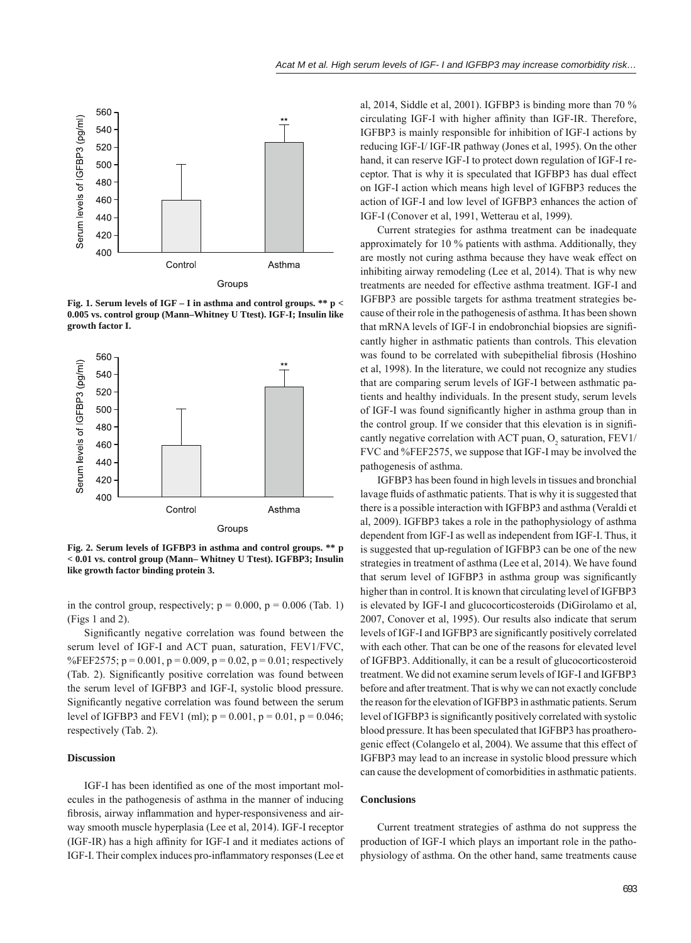

**Fig. 1. Serum levels of IGF – I in asthma and control groups. \*\* p < 0.005 vs. control group (Mann–Whitney U Ttest). IGF-I; Insulin like growth factor I.**



**Fig. 2. Serum levels of IGFBP3 in asthma and control groups. \*\* p < 0.01 vs. control group (Mann– Whitney U Ttest). IGFBP3; Insulin like growth factor binding protein 3.**

in the control group, respectively;  $p = 0.000$ ,  $p = 0.006$  (Tab. 1) (Figs 1 and 2).

Significantly negative correlation was found between the serum level of IGF-I and ACT puan, saturation, FEV1/FVC, %FEF2575;  $p = 0.001$ ,  $p = 0.009$ ,  $p = 0.02$ ,  $p = 0.01$ ; respectively (Tab. 2). Significantly positive correlation was found between the serum level of IGFBP3 and IGF-I, systolic blood pressure. Significantly negative correlation was found between the serum level of IGFBP3 and FEV1 (ml);  $p = 0.001$ ,  $p = 0.01$ ,  $p = 0.046$ ; respectively (Tab. 2).

# **Discussion**

IGF-I has been identified as one of the most important molecules in the pathogenesis of asthma in the manner of inducing fibrosis, airway inflammation and hyper-responsiveness and airway smooth muscle hyperplasia (Lee et al, 2014). IGF-I receptor  $(IGF-IR)$  has a high affinity for IGF-I and it mediates actions of IGF-I. Their complex induces pro-inflammatory responses (Lee et

al, 2014, Siddle et al, 2001). IGFBP3 is binding more than 70 % circulating IGF-I with higher affinity than IGF-IR. Therefore, IGFBP3 is mainly responsible for inhibition of IGF-I actions by reducing IGF-I/ IGF-IR pathway (Jones et al, 1995). On the other hand, it can reserve IGF-I to protect down regulation of IGF-I receptor. That is why it is speculated that IGFBP3 has dual effect on IGF-I action which means high level of IGFBP3 reduces the action of IGF-I and low level of IGFBP3 enhances the action of IGF-I (Conover et al, 1991, Wetterau et al, 1999).

Current strategies for asthma treatment can be inadequate approximately for 10 % patients with asthma. Additionally, they are mostly not curing asthma because they have weak effect on inhibiting airway remodeling (Lee et al, 2014). That is why new treatments are needed for effective asthma treatment. IGF-I and IGFBP3 are possible targets for asthma treatment strategies because of their role in the pathogenesis of asthma. It has been shown that mRNA levels of IGF-I in endobronchial biopsies are significantly higher in asthmatic patients than controls. This elevation was found to be correlated with subepithelial fibrosis (Hoshino et al, 1998). In the literature, we could not recognize any studies that are comparing serum levels of IGF-I between asthmatic patients and healthy individuals. In the present study, serum levels of IGF-I was found significantly higher in asthma group than in the control group. If we consider that this elevation is in significantly negative correlation with ACT puan,  $O_2$  saturation, FEV1/ FVC and %FEF2575, we suppose that IGF-I may be involved the pathogenesis of asthma.

IGFBP3 has been found in high levels in tissues and bronchial lavage fluids of asthmatic patients. That is why it is suggested that there is a possible interaction with IGFBP3 and asthma (Veraldi et al, 2009). IGFBP3 takes a role in the pathophysiology of asthma dependent from IGF-I as well as independent from IGF-I. Thus, it is suggested that up-regulation of IGFBP3 can be one of the new strategies in treatment of asthma (Lee et al, 2014). We have found that serum level of IGFBP3 in asthma group was significantly higher than in control. It is known that circulating level of IGFBP3 is elevated by IGF-I and glucocorticosteroids (DiGirolamo et al, 2007, Conover et al, 1995). Our results also indicate that serum levels of IGF-I and IGFBP3 are significantly positively correlated with each other. That can be one of the reasons for elevated level of IGFBP3. Additionally, it can be a result of glucocorticosteroid treatment. We did not examine serum levels of IGF-I and IGFBP3 before and after treatment. That is why we can not exactly conclude the reason for the elevation of IGFBP3 in asthmatic patients. Serum level of IGFBP3 is significantly positively correlated with systolic blood pressure. It has been speculated that IGFBP3 has proatherogenic effect (Colangelo et al, 2004). We assume that this effect of IGFBP3 may lead to an increase in systolic blood pressure which can cause the development of comorbidities in asthmatic patients.

#### **Conclusions**

Current treatment strategies of asthma do not suppress the production of IGF-I which plays an important role in the pathophysiology of asthma. On the other hand, same treatments cause